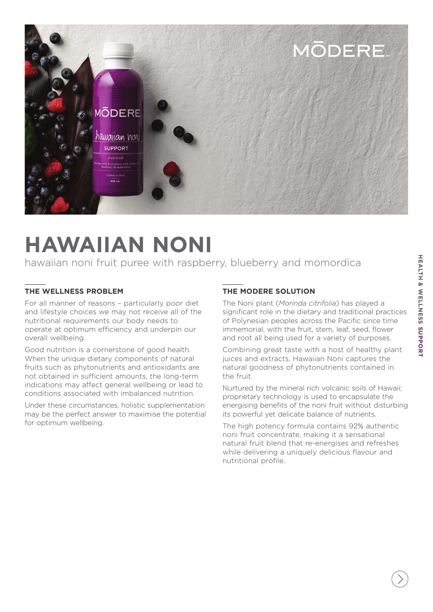

# **HAWAIIAN NONI**

hawaiian noni fruit puree with raspberry, blueberry and momordica

### **THE WELLNESS PROBLEM**

For all manner of reasons – particularly poor diet and lifestyle choices we may not receive all of the nutritional requirements our body needs to operate at optimum efficiency and underpin our overall wellbeing.

Good nutrition is a cornerstone of good health. When the unique dietary components of natural fruits such as phytonutrients and antioxidants are not obtained in sufficient amounts, the long-term indications may affect general wellbeing or lead to conditions associated with imbalanced nutrition.

Under these circumstances, holistic supplementation may be the perfect answer to maximise the potential for optimum wellbeing.

# **THE MODERE SOLUTION**

The Noni plant (*Morinda citrifolia*) has played a significant role in the dietary and traditional practices of Polynesian peoples across the Pacific since time immemorial, with the fruit, stem, leaf, seed, flower and root all being used for a variety of purposes.

Combining great taste with a host of healthy plant juices and extracts, Hawaiian Noni captures the natural goodness of phytonutrients contained in the fruit.

Nurtured by the mineral rich volcanic soils of Hawaii; proprietary technology is used to encapsulate the energising benefits of the noni fruit without disturbing its powerful yet delicate balance of nutrients.

The high potency formula contains 92% authentic noni fruit concentrate, making it a sensational natural fruit blend that re-energises and refreshes while delivering a uniquely delicious flavour and nutritional profile.